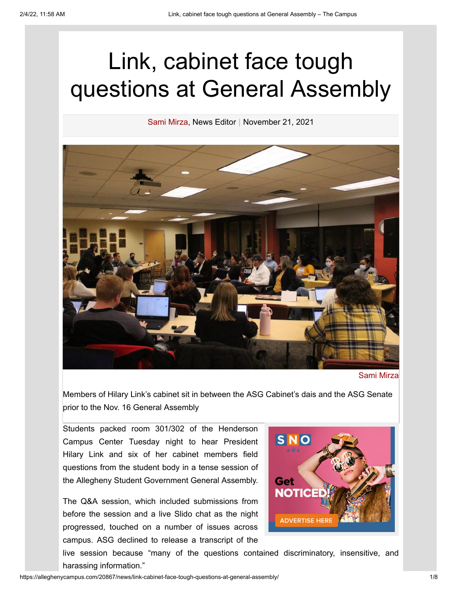# Link, cabinet face tough questions at General Assembly

[Sami Mirza](https://alleghenycampus.com/staff_name/sami-mirza/), News Editor | November 21, 2021



### [Sami Mirza](https://alleghenycampus.com/staff_name/sami-mirza/)

Members of Hilary Link's cabinet sit in between the ASG Cabinet's dais and the ASG Senate prior to the Nov. 16 General Assembly

Students packed room 301/302 of the Henderson Campus Center Tuesday night to hear President Hilary Link and six of her cabinet members field questions from the student body in a tense session of the Allegheny Student Government General Assembly.

The Q&A session, which included submissions from before the session and a live Slido chat as the night progressed, touched on a number of issues across campus. ASG declined to release a transcript of the



live session because "many of the questions contained discriminatory, insensitive, and harassing information."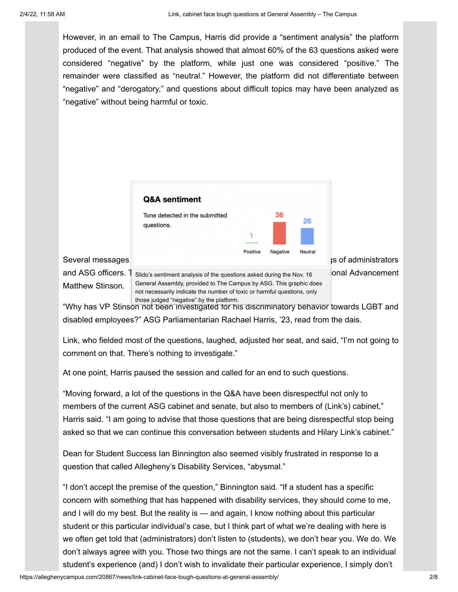However, in an email to The Campus, Harris did provide a "sentiment analysis" the platform produced of the event. That analysis showed that almost 60% of the 63 questions asked were considered "negative" by the platform, while just one was considered "positive." The remainder were classified as "neutral." However, the platform did not differentiate between "negative" and "derogatory," and questions about difficult topics may have been analyzed as "negative" without being harmful or toxic.



and ASG officers.  $1$  Slido's sentiment analysis of the questions asked during the Nov. 16 [Onal Advancement Matthew Stinson. General Assembly, provided to The Campus by ASG. This graphic does not necessarily indicate the number of toxic or harmful questions, only those judged "negative" by the platform.

"Why has VP Stinson not been investigated for his discriminatory behavior towards LGBT and disabled employees?" ASG Parliamentarian Rachael Harris, '23, read from the dais.

Link, who fielded most of the questions, laughed, adjusted her seat, and said, "I'm not going to comment on that. There's nothing to investigate."

At one point, Harris paused the session and called for an end to such questions.

"Moving forward, a lot of the questions in the Q&A have been disrespectful not only to members of the current ASG cabinet and senate, but also to members of (Link's) cabinet," Harris said. "I am going to advise that those questions that are being disrespectful stop being asked so that we can continue this conversation between students and Hilary Link's cabinet."

Dean for Student Success Ian Binnington also seemed visibly frustrated in response to a question that called Allegheny's Disability Services, "abysmal."

"I don't accept the premise of the question," Binnington said. "If a student has a specific concern with something that has happened with disability services, they should come to me, and I will do my best. But the reality is — and again, I know nothing about this particular student or this particular individual's case, but I think part of what we're dealing with here is we often get told that (administrators) don't listen to (students), we don't hear you. We do. We don't always agree with you. Those two things are not the same. I can't speak to an individual student's experience (and) I don't wish to invalidate their particular experience, I simply don't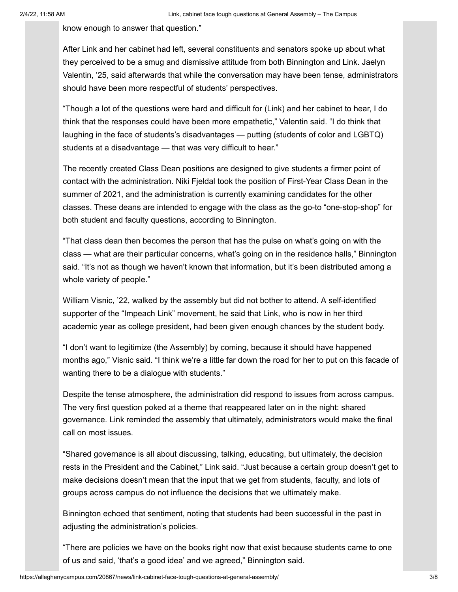know enough to answer that question."

After Link and her cabinet had left, several constituents and senators spoke up about what they perceived to be a smug and dismissive attitude from both Binnington and Link. Jaelyn Valentin, '25, said afterwards that while the conversation may have been tense, administrators should have been more respectful of students' perspectives.

"Though a lot of the questions were hard and difficult for (Link) and her cabinet to hear, I do think that the responses could have been more empathetic," Valentin said. "I do think that laughing in the face of students's disadvantages — putting (students of color and LGBTQ) students at a disadvantage — that was very difficult to hear."

The recently created Class Dean positions are designed to give students a firmer point of contact with the administration. Niki Fjeldal took the position of First-Year Class Dean in the summer of 2021, and the administration is currently examining candidates for the other classes. These deans are intended to engage with the class as the go-to "one-stop-shop" for both student and faculty questions, according to Binnington.

"That class dean then becomes the person that has the pulse on what's going on with the class — what are their particular concerns, what's going on in the residence halls," Binnington said. "It's not as though we haven't known that information, but it's been distributed among a whole variety of people."

William Visnic, '22, walked by the assembly but did not bother to attend. A self-identified supporter of the "Impeach Link" movement, he said that Link, who is now in her third academic year as college president, had been given enough chances by the student body.

"I don't want to legitimize (the Assembly) by coming, because it should have happened months ago," Visnic said. "I think we're a little far down the road for her to put on this facade of wanting there to be a dialogue with students."

Despite the tense atmosphere, the administration did respond to issues from across campus. The very first question poked at a theme that reappeared later on in the night: shared governance. Link reminded the assembly that ultimately, administrators would make the final call on most issues.

"Shared governance is all about discussing, talking, educating, but ultimately, the decision rests in the President and the Cabinet," Link said. "Just because a certain group doesn't get to make decisions doesn't mean that the input that we get from students, faculty, and lots of groups across campus do not influence the decisions that we ultimately make.

Binnington echoed that sentiment, noting that students had been successful in the past in adjusting the administration's policies.

"There are policies we have on the books right now that exist because students came to one of us and said, 'that's a good idea' and we agreed," Binnington said.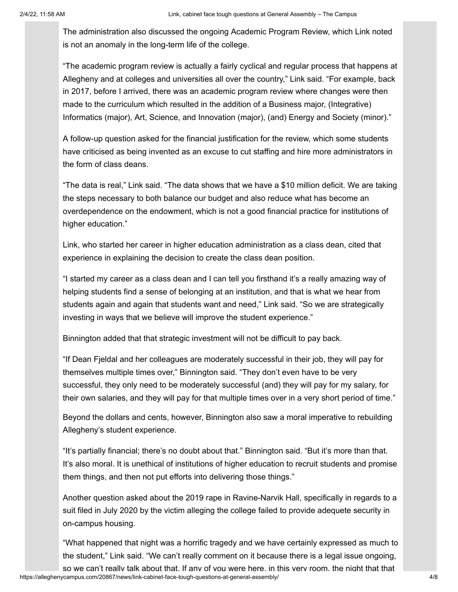The administration also discussed the ongoing Academic Program Review, which Link noted is not an anomaly in the long-term life of the college.

"The academic program review is actually a fairly cyclical and regular process that happens at Allegheny and at colleges and universities all over the country," Link said. "For example, back in 2017, before I arrived, there was an academic program review where changes were then made to the curriculum which resulted in the addition of a Business major, (Integrative) Informatics (major), Art, Science, and Innovation (major), (and) Energy and Society (minor)."

A follow-up question asked for the financial justification for the review, which some students have criticised as being invented as an excuse to cut staffing and hire more administrators in the form of class deans.

"The data is real," Link said. "The data shows that we have a \$10 million deficit. We are taking the steps necessary to both balance our budget and also reduce what has become an overdependence on the endowment, which is not a good financial practice for institutions of higher education."

Link, who started her career in higher education administration as a class dean, cited that experience in explaining the decision to create the class dean position.

"I started my career as a class dean and I can tell you firsthand it's a really amazing way of helping students find a sense of belonging at an institution, and that is what we hear from students again and again that students want and need," Link said. "So we are strategically investing in ways that we believe will improve the student experience."

Binnington added that that strategic investment will not be difficult to pay back.

"If Dean Fjeldal and her colleagues are moderately successful in their job, they will pay for themselves multiple times over," Binnington said. "They don't even have to be very successful, they only need to be moderately successful (and) they will pay for my salary, for their own salaries, and they will pay for that multiple times over in a very short period of time."

Beyond the dollars and cents, however, Binnington also saw a moral imperative to rebuilding Allegheny's student experience.

"It's partially financial; there's no doubt about that." Binnington said. "But it's more than that. It's also moral. It is unethical of institutions of higher education to recruit students and promise them things, and then not put efforts into delivering those things."

Another question asked about the 2019 rape in Ravine-Narvik Hall, specifically in regards to a suit filed in July 2020 by the victim alleging the college failed to provide adequete security in on-campus housing.

"What happened that night was a horrific tragedy and we have certainly expressed as much to the student," Link said. "We can't really comment on it because there is a legal issue ongoing, so we can't really talk about that. If any of you were here, in this very room, the night that that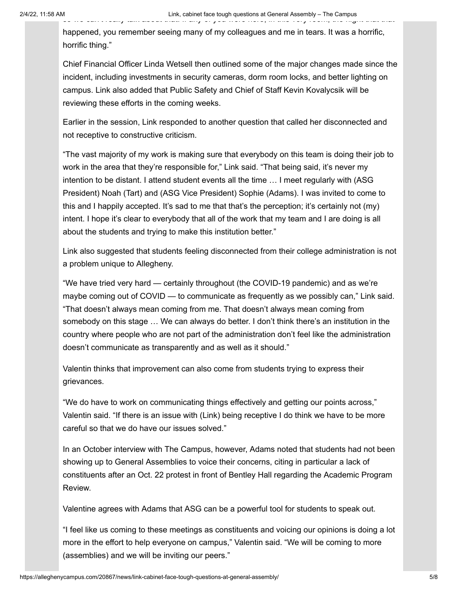happened, you remember seeing many of my colleagues and me in tears. It was a horrific, horrific thing."

Chief Financial Officer Linda Wetsell then outlined some of the major changes made since the incident, including investments in security cameras, dorm room locks, and better lighting on campus. Link also added that Public Safety and Chief of Staff Kevin Kovalycsik will be reviewing these efforts in the coming weeks.

Earlier in the session, Link responded to another question that called her disconnected and not receptive to constructive criticism.

"The vast majority of my work is making sure that everybody on this team is doing their job to work in the area that they're responsible for," Link said. "That being said, it's never my intention to be distant. I attend student events all the time … Imeet regularly with (ASG President) Noah (Tart) and (ASG Vice President) Sophie (Adams). I was invited to come to this and I happily accepted. It's sad to me that that's the perception; it's certainly not (my) intent. I hope it's clear to everybody that all of the work that my team and I are doing is all about the students and trying to make this institution better."

Link also suggested that students feeling disconnected from their college administration is not a problem unique to Allegheny.

"We have tried very hard — certainly throughout (the COVID-19 pandemic) and as we're maybe coming out of COVID — to communicate as frequently as we possibly can," Link said. "That doesn't always mean coming from me. That doesn't always mean coming from somebody on this stage … We can always do better. I don't think there's an institution in the country where people who are not part of the administration don't feel like the administration doesn't communicate as transparently and as well as it should."

Valentin thinks that improvement can also come from students trying to express their grievances.

"We do have to work on communicating things effectively and getting our points across," Valentin said. "If there is an issue with (Link) being receptive I do think we have to be more careful so that we do have our issues solved."

In an October interview with The Campus, however, Adams noted that students had not been showing up to General Assemblies to voice their concerns, citing in particular a lack of constituents after an Oct. 22 protest in front of Bentley Hall regarding the Academic Program Review.

Valentine agrees with Adams that ASG can be a powerful tool for students to speak out.

"I feel like us coming to these meetings as constituents and voicing our opinions is doing a lot more in the effort to help everyone on campus," Valentin said. "We will be coming to more (assemblies) and we will be inviting our peers."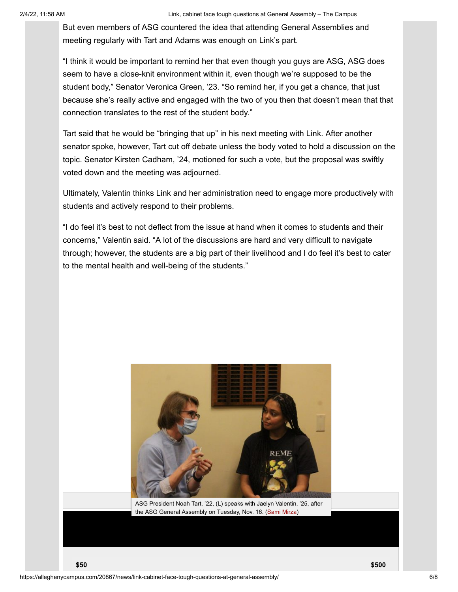But even members of ASG countered the idea that attending General Assemblies and meeting regularly with Tart and Adams was enough on Link's part.

"I think it would be important to remind her that even though you guys are ASG, ASG does seem to have a close-knit environment within it, even though we're supposed to be the student body," Senator Veronica Green, '23. "So remind her, if you get a chance, that just because she's really active and engaged with the two of you then that doesn't mean that that connection translates to the rest of the student body."

Tart said that he would be "bringing that up" in his next meeting with Link. After another senator spoke, however, Tart cut off debate unless the body voted to hold a discussion on the topic. Senator Kirsten Cadham, '24, motioned for such a vote, but the proposal was swiftly voted down and the meeting was adjourned.

Ultimately, Valentin thinks Link and her administration need to engage more productively with students and actively respond to their problems.

"I do feel it's best to not deflect from the issue at hand when it comes to students and their concerns," Valentin said. "A lot of the discussions are hard and very difficult to navigate through; however, the students are a big part of their livelihood and I do feel it's best to cater to the mental health and well-being of the students."

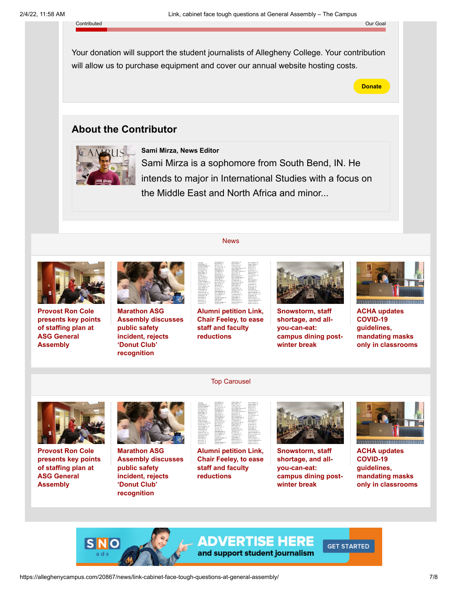#### Contributed Our Goal

Your donation will support the student journalists of Allegheny College. Your contribution will allow us to purchase equipment and cover our annual website hosting costs.

**Donate**

# **About the Contributor**



## **[Sami Mirza, News Editor](https://alleghenycampus.com/staff_profile/sami-mirza/)**

Sami Mirza is a sophomore from South Bend, IN. He intends to major in International Studies with a focus on the Middle East and North Africa and minor...



**Provost Ron Cole [presents key points](https://alleghenycampus.com/20978/news/provost-ron-cole-presents-key-points-of-staffing-plan-at-asg-general-assembly/) of staffing plan at ASG General Assembly**



**Marathon ASG [Assembly discusses](https://alleghenycampus.com/20936/news/marathon-asg-assembly-discusses-public-safety-incident-rejects-donut-club-recognition/) public safety incident, rejects 'Donut Club' recognition**



**[News](https://alleghenycampus.com/category/news/)** 

**[Alumni petition Link,](https://alleghenycampus.com/20924/news/alumni-petition-link-chair-feeley-to-ease-staff-and-faculty-reductions/) Chair Feeley, to ease staff and faculty reductions**



**Snowstorm, staff shortage, and allyou-can-eat: [campus dining post](https://alleghenycampus.com/20920/news/snowstorm-staff-shortage-and-all-you-can-eat-campus-dining-post-winter-break/)winter break**



**ACHA updates COVID-19 guidelines, mandating masks [only in classrooms](https://alleghenycampus.com/20916/news/acha-provides-an-updates-covid-19-guidelines-mandating-masks-only-in-classrooms/)**



**Provost Ron Cole [presents key points](https://alleghenycampus.com/20978/news/provost-ron-cole-presents-key-points-of-staffing-plan-at-asg-general-assembly/) of staffing plan at ASG General Assembly**



**Marathon ASG [Assembly discusses](https://alleghenycampus.com/20936/news/marathon-asg-assembly-discusses-public-safety-incident-rejects-donut-club-recognition/) public safety incident, rejects 'Donut Club' recognition**



[Top Carousel](https://alleghenycampus.com/category/top-carousel/)

**[Alumni petition Link,](https://alleghenycampus.com/20924/news/alumni-petition-link-chair-feeley-to-ease-staff-and-faculty-reductions/) Chair Feeley, to ease staff and faculty reductions**



**Snowstorm, staff shortage, and allyou-can-eat: [campus dining post](https://alleghenycampus.com/20920/news/snowstorm-staff-shortage-and-all-you-can-eat-campus-dining-post-winter-break/)winter break**

**GET STARTED** 



**ACHA updates COVID-19 guidelines, mandating masks [only in classrooms](https://alleghenycampus.com/20916/news/acha-provides-an-updates-covid-19-guidelines-mandating-masks-only-in-classrooms/)**